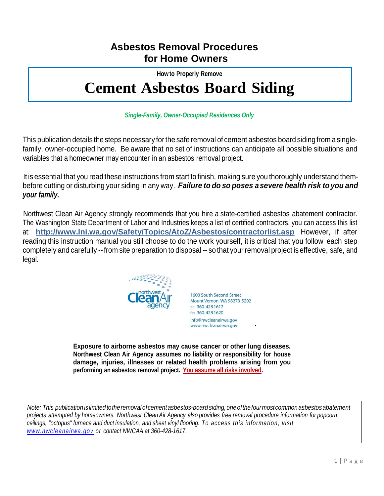### **Asbestos Removal Procedures for Home Owners**

· **Howto Properly Remove**

# **Cement Asbestos Board Siding**

### *Single-Family, Owner-Occupied Residences Only*

This publication details the steps necessary forthe safe removal of cement asbestos board sidingfrom asinglefamily, owner-occupied home. Be aware that no set of instructions can anticipate all possible situations and variables that a homeowner may encounter in an asbestos removal project.

It is essential that you read these instructions from start to finish, making sure you thoroughly understand thembefore cutting or disturbing your siding in any way. *Failure to do so poses a severe health risk to you and your family.*

Northwest Clean Air Agency strongly recommends that you hire a state-certified asbestos abatement contractor. The Washington State Department of Labor and Industries keeps a list of certified contractors, you can access this list at: **http://www.lni.wa.gov/Safety/Topics/AtoZ/Asbestos/contractorlist.asp** However, if after reading this instruction manual you still choose to do the work yourself, it is critical that you follow each step completely and carefully --from site preparation to disposal -- so that your removal project iseffective, safe, and legal.



1600 South Second Street Mount Vernon, WA 98273-5202 ph 360-428-1617 fax 360-428-1620 info@nwcleanairwa.gov www.nwcleanairwa.gov

·

**Exposure to airborne asbestos may cause cancer or other lung diseases. Northwest Clean Air Agency assumes no liability or responsibility for house damage, injuries, illnesses or related health problems arising from you performing an asbestos removal project. You assume all risks involved.**

*Note: This publication islimitedtotheremoval ofcementasbestos-board siding,oneofthefourmostcommon asbestosabatement* projects attempted by homeowners. Northwest Clean Air Agency also provides free removal procedure information for popcorn *ceilings, "octopus" furnace and duct insulation, and sheet vinyl flooring. To access this information, visit [www.nwcleanairwa.gov](http://www.nwcleanairwa.gov/) or contact NWCAA at 360-428-1617.*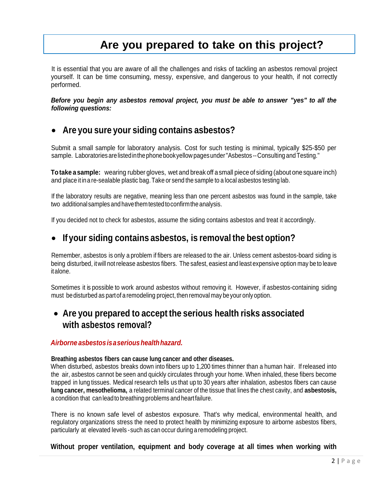# **Are you prepared to take on this project?**

It is essential that you are aware of all the challenges and risks of tackling an asbestos removal project yourself. It can be time consuming, messy, expensive, and dangerous to your health, if not correctly performed.

*Before you begin any asbestos removal project, you must be able to answer "yes" to all the following questions:*

### • **Are you sure your siding contains asbestos?**

Submit a small sample for laboratory analysis. Cost for such testing is minimal, typically \$25-\$50 per sample. Laboratories are listed in the phone book yellow pages under "Asbestos --Consulting and Testing."

**Totake a sample:** wearing rubber gloves, wet and break off asmall piece of siding (about one square inch) and place it in a re-sealable plastic bag. Take or send the sample to a local asbestos testing lab.

If the laboratory results are negative, meaning less than one percent asbestos was found in the sample, take two additionalsamples and havethemtestedtoconfirmtheanalysis.

If you decided not to check for asbestos, assume the siding contains asbestos and treat it accordingly.

### • **If your siding contains asbestos, is removal the best option?**

Remember, asbestos is only a problem if fibers are released to the air. Unless cement asbestos-board siding is being disturbed, itwill notrelease asbestos fibers. The safest, easiest and least expensive option may be to leave italone.

Sometimes it is possible to work around asbestos without removing it. However, if asbestos-containing siding must be disturbed as part of a remodeling project, then removal may be your only option.

### • **Are you prepared to accept the serious health risks associated with asbestos removal?**

#### *Airborne asbestos isaserioushealthhazard.*

#### **Breathing asbestos fibers can cause lung cancer and other diseases.**

When disturbed, asbestos breaks down into fibers up to 1,200 times thinner than a human hair. If released into the air, asbestos cannot be seen and quickly circulates through your home. When inhaled, these fibers become trapped in lung tissues. Medical research tells us that up to 30 years after inhalation, asbestos fibers can cause **lung cancer, mesothelioma,** a related terminal cancer of the tissue that lines the chest cavity, and **asbestosis,**  a condition that canleadto breathing problems and heartfailure.

There is no known safe level of asbestos exposure. That's why medical, environmental health, and regulatory organizations stress the need to protect health by minimizing exposure to airborne asbestos fibers, particularly at elevated levels -such as can occur during a remodeling project.

#### **Without proper ventilation, equipment and body coverage at all times when working with**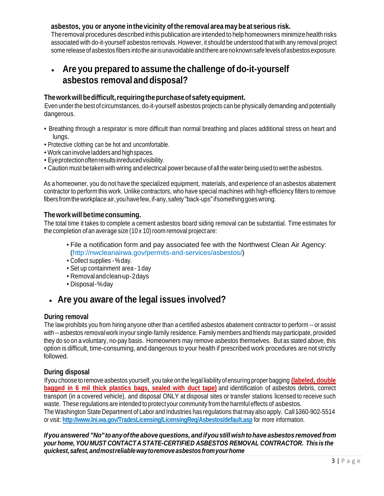### **asbestos, you or anyone inthevicinity ofthe removal area may beat serious risk.**

Theremoval procedures described inthis publication are intended to helphomeowners minimize health risks associated with do-it-yourself asbestos removals. However, it should be understood that with any removal project some release of asbestos fibers into the air is unavoidable and there are no known safe levels of asbestos exposure.

### • **Are you prepared to assume the challenge of do-it-yourself asbestos removal anddisposal?**

### **Theworkwillbedifficult,requiringthepurchaseofsafety equipment.**

Even under the best of circumstances, do-it-yourself asbestos projects can be physically demanding and potentially dangerous.

- Breathing through a respirator is more difficult than normal breathing and places additional stress on heart and lungs.
- Protective clothing can be hot and uncomfortable.
- Work can involve ladders and highspaces.
- Eyeprotection often results inreduced visibility.
- Caution must betaken with wiring and electrical power because ofallthe water being used towet the asbestos.

As a homeowner, you do not have the specialized equipment, materials, and experience of an asbestos abatement contractor to perform this work. Unlike contractors, who have special machines with high-efficiency filters to remove fibers fromtheworkplace air,youhavefew,if-any,safety "back-ups"ifsomethinggoes wrong.

#### **Theworkwill betime consuming.**

The total time it takes to complete a cement asbestos board siding removal can be substantial. Time estimates for the completion of an average size  $(10 \times 10)$  room removal project are:

- File a notification form and pay associated fee with the Northwest Clean Air Agency: (http://nwcleanairwa.gov/permits-and-services/asbestos/)
- Collect supplies -%day.
- Set up containment area 1day
- Removalandclean-up-2days
- Disposal-%day

### • **Are you aware of the legal issues involved?**

#### **During removal**

The law prohibits you from hiring anyone other than a certified asbestos abatement contractor to perform -- or assist with -- asbestos removal work in your single-family residence. Family members and friends may participate, provided they do so on a voluntary, no-pay basis. Homeowners may remove asbestos themselves. But as stated above, this option is difficult, time-consuming, and dangerous to your health if prescribed work procedures are not strictly followed.

#### **During disposal**

Ifyou choose to remove asbestos yourself, you take onthe legal liabilityofensuring proper bagging **(labeled, double bagged in 6 mil thick plastics bags, sealed with duct tape)** and identification of asbestos debris, correct transport (in a covered vehicle), and disposal ONLY at disposal sites or transfer stations licensed to receive such waste. These regulations are intended to protectyour community from the harmful effects of asbestos. The Washington State Department of Labor and Industries has regulations that may also apply. Call1-360-902-5514 or visit: **http://www.lni.wa.gov/TradesLicensing/LicensingReq/Asbestos/default.asp** for more information.

*Ifyou answered "No" toanyoftheabove questions, andifyoustill wishtohave asbestos removed from your home, YOU MUST CONTACTA STATE-CERTIFIED ASBESTOS REMOVAL CONTRACTOR. Thisis the quickest,safest,andmostreliablewaytoremoveasbestosfromyourhome*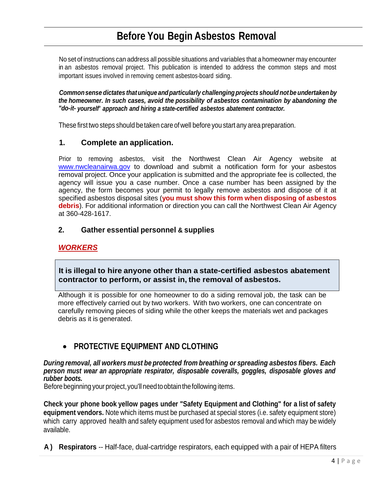## **Before You Begin Asbestos Removal**

No set of instructions can address all possible situations and variables that a homeowner may encounter in an asbestos removal project. This publication is intended to address the common steps and most important issues involved in removing cement asbestos-board siding.

*Commonsense dictates thatunique andparticularly challengingprojects should notbe undertaken by the homeowner. In such cases, avoid the possibility of asbestos contamination by abandoning the "do-it- yourself' approach and hiring a state-certified asbestos abatement contractor.*

These first two steps should betaken care ofwell before you start any area preparation.

### **1. Complete an application.**

Prior to removing asbestos, visit the Northwest Clean Air Agency website at [www.nwcleanairwa.gov](http://www.nwcleanairwa.gov/) to download and submit a notification form for your asbestos removal project. Once your application is submitted and the appropriate fee is collected, the agency will issue you a case number. Once a case number has been assigned by the agency, the form becomes your permit to legally remove asbestos and dispose of it at specified asbestos disposal sites (**you must show this form when disposing of asbestos debris**). For additional information or direction you can call the Northwest Clean Air Agency at 360-428-1617.

### **2. Gather essential personnel & supplies**

### *WORKERS*

**It is illegal to hire anyone other than a state-certified asbestos abatement contractor to perform, or assist in, the removal of asbestos.**

Although it is possible for one homeowner to do a siding removal job, the task can be more effectively carried out by two workers. With two workers, one can concentrate on carefully removing pieces of siding while the other keeps the materials wet and packages debris as it is generated.

### • **PROTECTIVE EQUIPMENT AND CLOTHING**

*During removal, all workers must be protected from breathing or spreading asbestos fibers. Each person must wear an appropriate respirator, disposable coveralls, goggles, disposable gloves and rubber boots.*

Before beginning your project, you'll need to obtain the following items.

**Check your phone book yellow pages under "Safety Equipment and Clothing" for a list of safety equipment vendors.** Note which items must be purchased at special stores (i.e. safety equipment store) which carry approved health and safety equipment used for asbestos removal and which may be widely available.

**A ) Respirators** -- Half-face, dual-cartridge respirators, each equipped with a pair of HEPA filters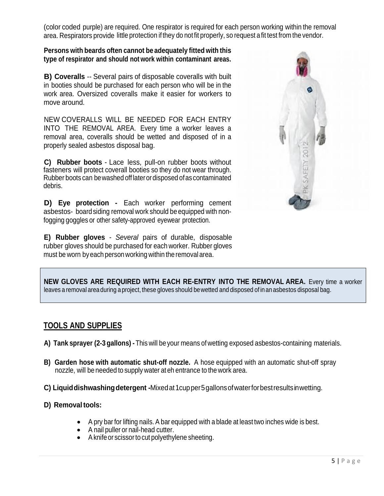(color coded purple) are required. One respirator is required for each person working within the removal area. Respirators provide little protection ifthey do notfit properly, so request afit test from the vendor.

**Persons with beards often cannot be adequately fitted with this type of respirator and should not work within contaminant areas.**

**B) Coveralls** -- Several pairs of disposable coveralls with built in booties should be purchased for each person who will be in the work area. Oversized coveralls make it easier for workers to move around.

NEW COVERALLS WILL BE NEEDED FOR EACH ENTRY INTO THE REMOVAL AREA. Every time a worker leaves a removal area, coveralls should be wetted and disposed of in a properly sealed asbestos disposal bag.

**C) Rubber boots** - Lace less, pull-on rubber boots without fasteners will protect coverall booties so they do not wear through. Rubber boots can bewashed offlaterordisposed ofascontaminated debris.

**D) Eye protection -** Each worker performing cement asbestos- board siding removal work should be equipped with nonfogging goggles or other safety-approved eyewear protection.

**E) Rubber gloves** - *Several* pairs of durable, disposable rubber gloves should be purchased for each worker. Rubber gloves must be worn byeach personworking within the removal area.



**NEW GLOVES ARE REQUIRED WITH EACH RE-ENTRY INTO THE REMOVAL AREA.** Every time a worker leaves a removal area during a project, these gloves should bewetted and disposed of inan asbestos disposal bag.

### **TOOLS AND SUPPLIES**

- **A) Tank sprayer (2-3 gallons) -**This will beyour means ofwetting exposed asbestos-containing materials.
- **B) Garden hose with automatic shut-off nozzle.** A hose equipped with an automatic shut-off spray nozzle, will be needed to supply water at eh entrance to the work area.
- **C) Liquiddishwashingdetergent -**Mixedat1cupper5gallonsofwaterforbestresultsinwetting.

### **D) Removaltools:**

- A pry barfor lifting nails. A bar equipped with a blade at least two inches wide is best.
- A nail puller or nail-head cutter.
- A knife or scissor to cut polyethylene sheeting.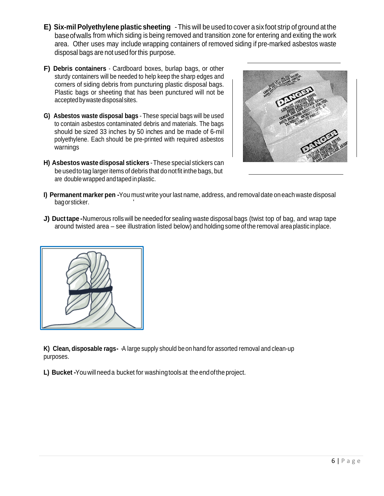- **E) Six-mil Polyethylene plastic sheeting** -This will be used to cover asix foot strip of ground at the baseofwalls from which siding is being removed and transition zone for entering and exiting the work area. Other uses may include wrapping containers of removed siding if pre-marked asbestos waste disposal bags are not used forthis purpose.
- **F) Debris containers** Cardboard boxes, burlap bags, or other sturdy containers will be needed to help keep the sharp edges and corners of siding debris from puncturing plastic disposal bags. Plastic bags or sheeting that has been punctured will not be accepted bywastedisposalsites.
- **G) Asbestos waste disposal bags** These special bags will be used to contain asbestos contaminated debris and materials. The bags should be sized 33 inches by 50 inches and be made of 6-mil polyethylene. Each should be pre-printed with required asbestos warnings
- **H) Asbestos waste disposal stickers** -These special stickers can be usedto tag largeritems of debris that do notfit inthe bags, but are doublewrapped andtaped inplastic.



- **I) Permanent marker pen -**You must write your last name, address, and removal date on eachwaste disposal bagorsticker. '
- **J) Ducttape -**Numerous rolls will be neededfor sealing waste disposal bags (twist top of bag, and wrap tape around twisted area – see illustration listed below) and holding some ofthe removal area plastic inplace.



**K) Clean, disposable rags-** ·A large supply should be on hand for assorted removal and clean-up purposes.

**L) Bucket -**Youwill needa bucket for washingtoolsat the endofthe project.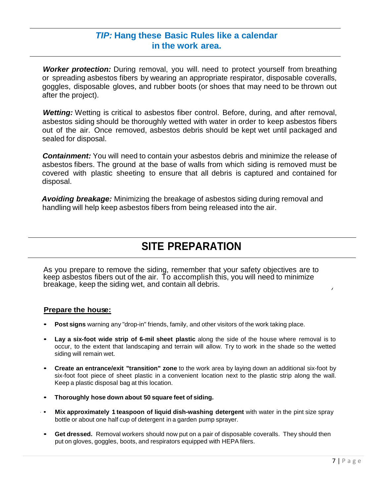### *TIP:* **Hang these Basic Rules like a calendar in the work area.**

*Worker protection:* During removal, you will. need to protect yourself from breathing or spreading asbestos fibers by wearing an appropriate respirator, disposable coveralls, goggles, disposable gloves, and rubber boots (or shoes that may need to be thrown out after the project).

*Wetting:* Wetting is critical to asbestos fiber control. Before, during, and after removal, asbestos siding should be thoroughly wetted with water in order to keep asbestos fibers out of the air. Once removed, asbestos debris should be kept wet until packaged and sealed for disposal.

*Containment:* You will need to contain your asbestos debris and minimize the release of asbestos fibers. The ground at the base of walls from which siding is removed must be covered with plastic sheeting to ensure that all debris is captured and contained for disposal.

*Avoiding breakage:* Minimizing the breakage of asbestos siding during removal and handling will help keep asbestos fibers from being released into the air.

# **SITE PREPARATION**

As you prepare to remove the siding, remember that your safety objectives are to keep asbestos fibers out of the air. To accomplish this, you will need to minimize breakage, keep the siding wet, and contain all debris. *<sup>j</sup>*

#### **Prepare the house:**

- **Post signs** warning any "drop-in" friends, family, and other visitors of the work taking place.
- **Lay a six-foot wide strip of 6-mil sheet plastic** along the side of the house where removal is to occur, to the extent that landscaping and terrain will allow. Try to work in the shade so the wetted siding will remain wet.
- **Create an entrance/exit "transition" zone** to the work area by laying down an additional six-foot by six-foot foot piece of sheet plastic in a convenient location next to the plastic strip along the wall. Keep a plastic disposal bag at this location.
- **Thoroughly hose down about 50 square feet of siding.**
- · **Mix approximately 1 teaspoon of liquid dish-washing detergent** with water in the pint size spray bottle or about one half cup of detergent in a garden pump sprayer.
- **Get dressed.** Removal workers should now put on a pair of disposable coveralls. They should then put on gloves, goggles, boots, and respirators equipped with HEPA filers.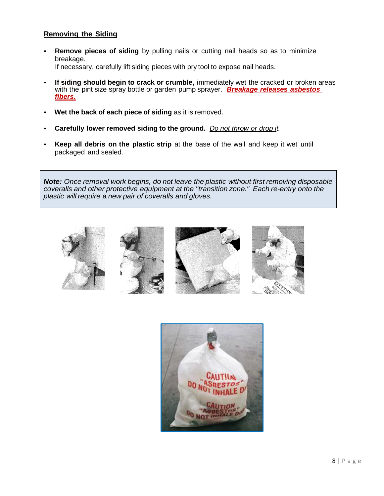### **Removing the Siding**

- **Remove pieces of siding** by pulling nails or cutting nail heads so as to minimize breakage. If necessary, carefully lift siding pieces with pry tool to expose nail heads.
- **If siding should begin to crack or crumble,** immediately wet the cracked or broken areas with the pint size spray bottle or garden pump sprayer. *Breakage releases asbestos fibers.*
- **Wet the back of each piece of siding** as it is removed.
- **Carefully lower removed siding to the ground.** *Do not throw or drop it.*
- **Keep all debris on the plastic strip** at the base of the wall and keep it wet until packaged and sealed.

*Note: Once removal work begins, do not leave the plastic without first removing disposable coveralls and other protective equipment at the "transition zone." Each re-entry onto the plastic will require* a *new pair of coveralls and gloves.*